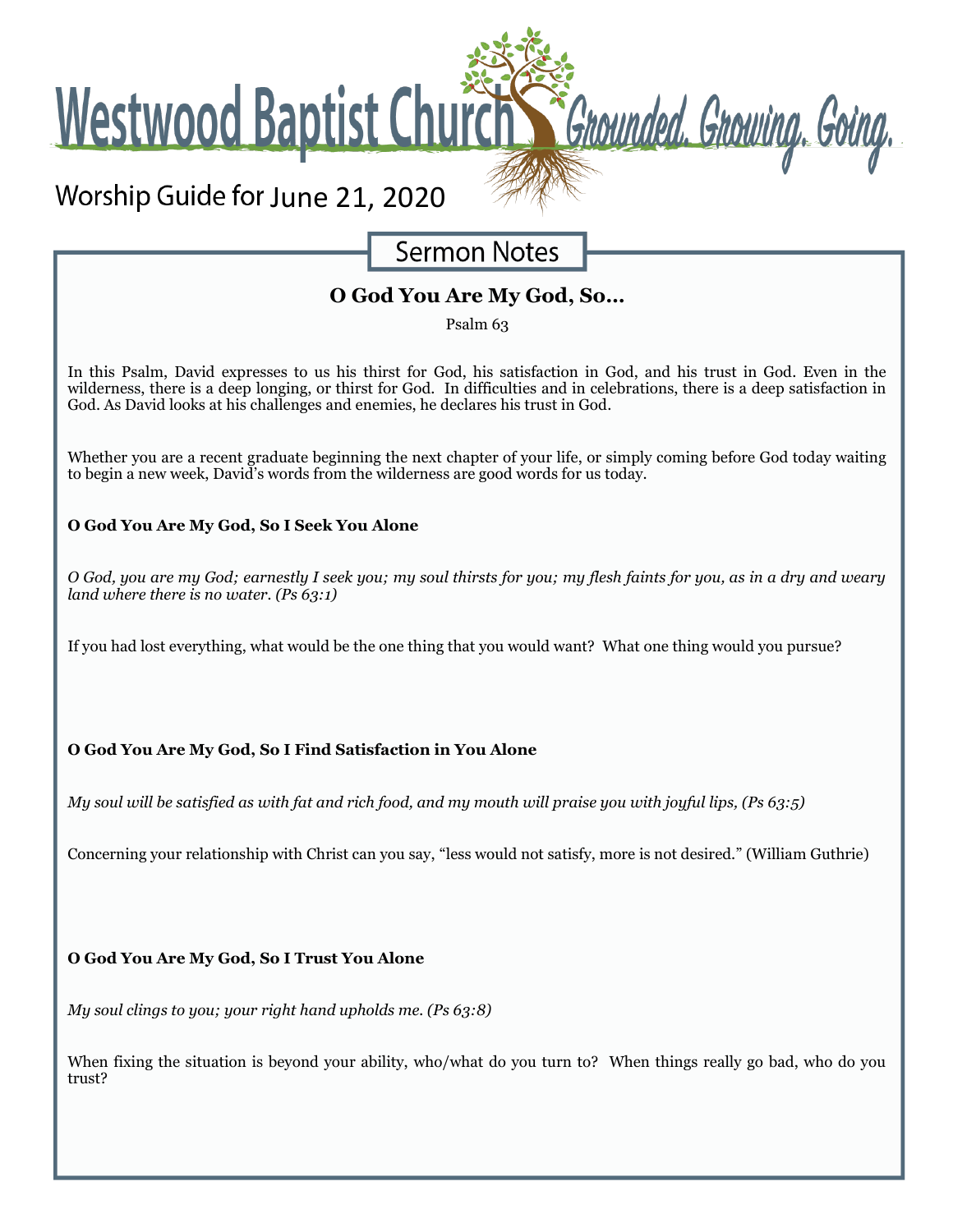**Westwood Baptist Church** 

# Worship Guide for June 21, 2020

**Sermon Notes** 

Grounded. Growing. Going.

## **O God You Are My God, So…**

Psalm 63

In this Psalm, David expresses to us his thirst for God, his satisfaction in God, and his trust in God. Even in the wilderness, there is a deep longing, or thirst for God. In difficulties and in celebrations, there is a deep satisfaction in God. As David looks at his challenges and enemies, he declares his trust in God.

Whether you are a recent graduate beginning the next chapter of your life, or simply coming before God today waiting to begin a new week, David's words from the wilderness are good words for us today.

### **O God You Are My God, So I Seek You Alone**

*O God, you are my God; earnestly I seek you; my soul thirsts for you; my flesh faints for you, as in a dry and weary land where there is no water. (Ps 63:1)*

If you had lost everything, what would be the one thing that you would want? What one thing would you pursue?

#### **O God You Are My God, So I Find Satisfaction in You Alone**

*My soul will be satisfied as with fat and rich food, and my mouth will praise you with joyful lips, (Ps 63:5)*

Concerning your relationship with Christ can you say, "less would not satisfy, more is not desired." (William Guthrie)

**O God You Are My God, So I Trust You Alone** 

*My soul clings to you; your right hand upholds me. (Ps 63:8)*

When fixing the situation is beyond your ability, who/what do you turn to? When things really go bad, who do you trust?